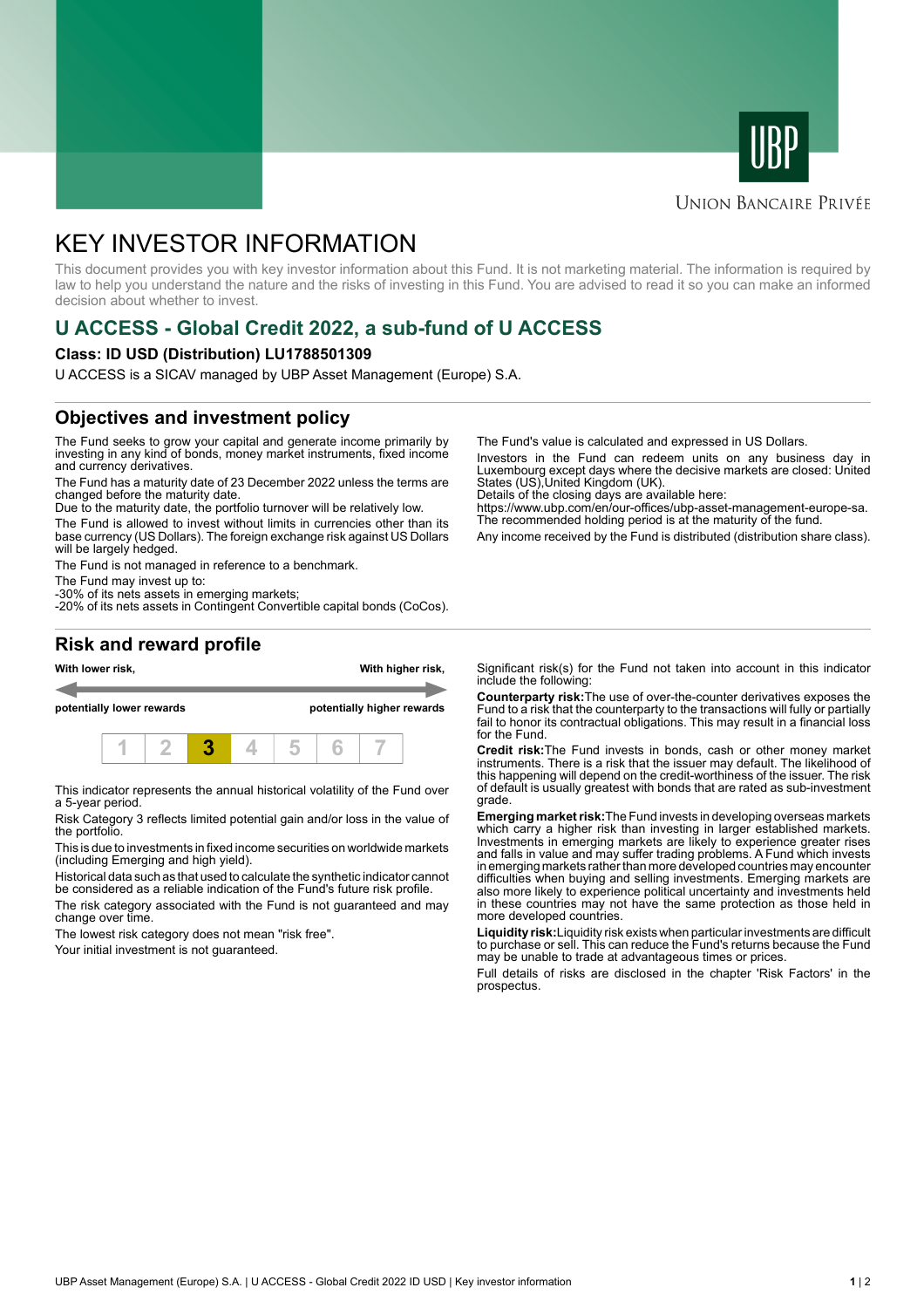



#### **UNION BANCAIRE PRIVÉE**

# KEY INVESTOR INFORMATION

This document provides you with key investor information about this Fund. It is not marketing material. The information is required by law to help you understand the nature and the risks of investing in this Fund. You are advised to read it so you can make an informed decision about whether to invest.

## **U ACCESS - Global Credit 2022, a sub-fund of U ACCESS**

#### **Class: ID USD (Distribution) LU1788501309**

U ACCESS is a SICAV managed by UBP Asset Management (Europe) S.A.

### **Objectives and investment policy**

The Fund seeks to grow your capital and generate income primarily by investing in any kind of bonds, money market instruments, fixed income and currency derivatives.

The Fund has a maturity date of 23 December 2022 unless the terms are changed before the maturity date.

Due to the maturity date, the portfolio turnover will be relatively low.

The Fund is allowed to invest without limits in currencies other than its base currency (US Dollars). The foreign exchange risk against US Dollars will be largely hedged.

The Fund is not managed in reference to a benchmark.

The Fund may invest up to:

-30% of its nets assets in emerging markets; -20% of its nets assets in Contingent Convertible capital bonds (CoCos). The Fund's value is calculated and expressed in US Dollars.

Investors in the Fund can redeem units on any business day in Luxembourg except days where the decisive markets are closed: United States (US),United Kingdom (UK).

Details of the closing days are available here:

https://www.ubp.com/en/our-offices/ubp-asset-management-europe-sa. The recommended holding period is at the maturity of the fund.

Any income received by the Fund is distributed (distribution share class).

#### **Risk and reward profile**



This indicator represents the annual historical volatility of the Fund over a 5-year period.

Risk Category 3 reflects limited potential gain and/or loss in the value of the portfolio.

This is due to investments in fixed income securities on worldwide markets (including Emerging and high yield).

Historical data such as that used to calculate the synthetic indicator cannot be considered as a reliable indication of the Fund's future risk profile.

The risk category associated with the Fund is not guaranteed and may change over time.

The lowest risk category does not mean "risk free".

Your initial investment is not guaranteed.

Significant risk(s) for the Fund not taken into account in this indicator include the following:

**Counterparty risk:**The use of over-the-counter derivatives exposes the Fund to a risk that the counterparty to the transactions will fully or partially fail to honor its contractual obligations. This may result in a financial loss for the Fund.

**Credit risk:**The Fund invests in bonds, cash or other money market instruments. There is a risk that the issuer may default. The likelihood of this happening will depend on the credit-worthiness of the issuer. The risk of default is usually greatest with bonds that are rated as sub-investment grade.

**Emerging market risk:**The Fund invests in developing overseas markets which carry a higher risk than investing in larger established markets. Investments in emerging markets are likely to experience greater rises and falls in value and may suffer trading problems. A Fund which invests in emerging markets rather than more developed countries may encounter difficulties when buying and selling investments. Emerging markets are also more likely to experience political uncertainty and investments held in these countries may not have the same protection as those held in more developed countries.

**Liquidity risk:**Liquidity risk exists when particular investments are difficult to purchase or sell. This can reduce the Fund's returns because the Fund may be unable to trade at advantageous times or prices

Full details of risks are disclosed in the chapter 'Risk Factors' in the prospectus.